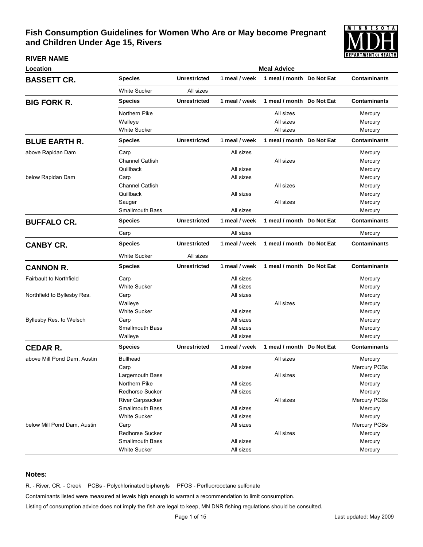

#### **RIVER NAME**

| Location                       | <b>Meal Advice</b>     |                     |               |                           |  |                     |  |  |
|--------------------------------|------------------------|---------------------|---------------|---------------------------|--|---------------------|--|--|
| <b>BASSETT CR.</b>             | Species                | <b>Unrestricted</b> | 1 meal / week | 1 meal / month Do Not Eat |  | <b>Contaminants</b> |  |  |
|                                | White Sucker           | All sizes           |               |                           |  |                     |  |  |
| <b>BIG FORK R.</b>             | <b>Species</b>         | <b>Unrestricted</b> | 1 meal / week | 1 meal / month Do Not Eat |  | <b>Contaminants</b> |  |  |
|                                | Northern Pike          |                     |               | All sizes                 |  | Mercury             |  |  |
|                                | Walleye                |                     |               | All sizes                 |  | Mercury             |  |  |
|                                | White Sucker           |                     |               | All sizes                 |  | Mercury             |  |  |
| <b>BLUE EARTH R.</b>           | <b>Species</b>         | <b>Unrestricted</b> | 1 meal / week | 1 meal / month Do Not Eat |  | <b>Contaminants</b> |  |  |
| above Rapidan Dam              | Carp                   |                     | All sizes     |                           |  | Mercury             |  |  |
|                                | <b>Channel Catfish</b> |                     |               | All sizes                 |  | Mercury             |  |  |
|                                | Quillback              |                     | All sizes     |                           |  | Mercury             |  |  |
| below Rapidan Dam              | Carp                   |                     | All sizes     |                           |  | Mercury             |  |  |
|                                | <b>Channel Catfish</b> |                     |               | All sizes                 |  | Mercury             |  |  |
|                                | Quillback              |                     | All sizes     |                           |  | Mercury             |  |  |
|                                | Sauger                 |                     |               | All sizes                 |  | Mercury             |  |  |
|                                | <b>Smallmouth Bass</b> |                     | All sizes     |                           |  | Mercury             |  |  |
| <b>BUFFALO CR.</b>             | Species                | <b>Unrestricted</b> | 1 meal / week | 1 meal / month Do Not Eat |  | <b>Contaminants</b> |  |  |
|                                | Carp                   |                     | All sizes     |                           |  | Mercury             |  |  |
| <b>CANBY CR.</b>               | <b>Species</b>         | <b>Unrestricted</b> | 1 meal / week | 1 meal / month Do Not Eat |  | <b>Contaminants</b> |  |  |
|                                | White Sucker           | All sizes           |               |                           |  |                     |  |  |
| <b>CANNON R.</b>               | Species                | <b>Unrestricted</b> | 1 meal / week | 1 meal / month Do Not Eat |  | <b>Contaminants</b> |  |  |
| <b>Fairbault to Northfield</b> | Carp                   |                     | All sizes     |                           |  | Mercury             |  |  |
|                                | White Sucker           |                     | All sizes     |                           |  | Mercury             |  |  |
| Northfield to Byllesby Res.    | Carp                   |                     | All sizes     |                           |  | Mercury             |  |  |
|                                | Walleye                |                     |               | All sizes                 |  | Mercury             |  |  |
|                                | White Sucker           |                     | All sizes     |                           |  | Mercury             |  |  |
| Byllesby Res. to Welsch        | Carp                   |                     | All sizes     |                           |  | Mercury             |  |  |
|                                | <b>Smallmouth Bass</b> |                     | All sizes     |                           |  | Mercury             |  |  |
|                                | Walleye                |                     | All sizes     |                           |  | Mercury             |  |  |
| <b>CEDAR R.</b>                | Species                | <b>Unrestricted</b> | 1 meal / week | 1 meal / month Do Not Eat |  | <b>Contaminants</b> |  |  |
| above Mill Pond Dam, Austin    | <b>Bullhead</b>        |                     |               | All sizes                 |  | Mercury             |  |  |
|                                | Carp                   |                     | All sizes     |                           |  | Mercury PCBs        |  |  |
|                                | Largemouth Bass        |                     |               | All sizes                 |  | Mercury             |  |  |
|                                | Northern Pike          |                     | All sizes     |                           |  | Mercury             |  |  |
|                                | Redhorse Sucker        |                     | All sizes     |                           |  | Mercury             |  |  |
|                                | River Carpsucker       |                     |               | All sizes                 |  | Mercury PCBs        |  |  |
|                                | <b>Smallmouth Bass</b> |                     | All sizes     |                           |  | Mercury             |  |  |
|                                | <b>White Sucker</b>    |                     | All sizes     |                           |  | Mercury             |  |  |
| below Mill Pond Dam, Austin    | Carp                   |                     | All sizes     |                           |  | Mercury PCBs        |  |  |
|                                | Redhorse Sucker        |                     |               | All sizes                 |  | Mercury             |  |  |
|                                | <b>Smallmouth Bass</b> |                     | All sizes     |                           |  | Mercury             |  |  |
|                                | <b>White Sucker</b>    |                     | All sizes     |                           |  | Mercury             |  |  |

### **Notes:**

R. - River, CR. - Creek PCBs - Polychlorinated biphenyls PFOS - Perfluorooctane sulfonate

Contaminants listed were measured at levels high enough to warrant a recommendation to limit consumption.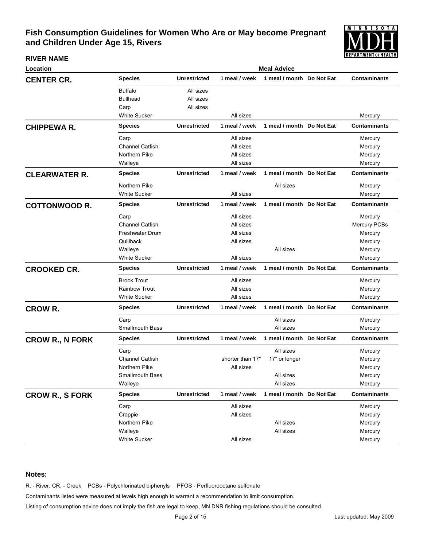

### **RIVER NAME**

| Location               | <b>Meal Advice</b>     |                     |                  |                           |  |                     |  |  |
|------------------------|------------------------|---------------------|------------------|---------------------------|--|---------------------|--|--|
| <b>CENTER CR.</b>      | <b>Species</b>         | <b>Unrestricted</b> | 1 meal / week    | 1 meal / month Do Not Eat |  | <b>Contaminants</b> |  |  |
|                        | <b>Buffalo</b>         | All sizes           |                  |                           |  |                     |  |  |
|                        | <b>Bullhead</b>        | All sizes           |                  |                           |  |                     |  |  |
|                        | Carp                   | All sizes           |                  |                           |  |                     |  |  |
|                        | <b>White Sucker</b>    |                     | All sizes        |                           |  | Mercury             |  |  |
| <b>CHIPPEWAR.</b>      | <b>Species</b>         | <b>Unrestricted</b> | 1 meal / week    | 1 meal / month Do Not Eat |  | <b>Contaminants</b> |  |  |
|                        | Carp                   |                     | All sizes        |                           |  | Mercury             |  |  |
|                        | <b>Channel Catfish</b> |                     | All sizes        |                           |  | Mercury             |  |  |
|                        | Northern Pike          |                     | All sizes        |                           |  | Mercury             |  |  |
|                        | Walleye                |                     | All sizes        |                           |  | Mercury             |  |  |
| <b>CLEARWATER R.</b>   | <b>Species</b>         | <b>Unrestricted</b> | 1 meal / week    | 1 meal / month Do Not Eat |  | <b>Contaminants</b> |  |  |
|                        | Northern Pike          |                     |                  | All sizes                 |  | Mercury             |  |  |
|                        | <b>White Sucker</b>    |                     | All sizes        |                           |  | Mercury             |  |  |
| <b>COTTONWOOD R.</b>   | Species                | <b>Unrestricted</b> | 1 meal / week    | 1 meal / month Do Not Eat |  | <b>Contaminants</b> |  |  |
|                        | Carp                   |                     | All sizes        |                           |  | Mercury             |  |  |
|                        | <b>Channel Catfish</b> |                     | All sizes        |                           |  | Mercury PCBs        |  |  |
|                        | <b>Freshwater Drum</b> |                     | All sizes        |                           |  | Mercury             |  |  |
|                        | Quillback              |                     | All sizes        |                           |  | Mercury             |  |  |
|                        | Walleye                |                     |                  | All sizes                 |  | Mercury             |  |  |
|                        | <b>White Sucker</b>    |                     | All sizes        |                           |  | Mercury             |  |  |
| <b>CROOKED CR.</b>     | <b>Species</b>         | <b>Unrestricted</b> | 1 meal / week    | 1 meal / month Do Not Eat |  | <b>Contaminants</b> |  |  |
|                        | <b>Brook Trout</b>     |                     | All sizes        |                           |  | Mercury             |  |  |
|                        | <b>Rainbow Trout</b>   |                     | All sizes        |                           |  | Mercury             |  |  |
|                        | <b>White Sucker</b>    |                     | All sizes        |                           |  | Mercury             |  |  |
| <b>CROW R.</b>         | <b>Species</b>         | <b>Unrestricted</b> | 1 meal / week    | 1 meal / month Do Not Eat |  | <b>Contaminants</b> |  |  |
|                        | Carp                   |                     |                  | All sizes                 |  | Mercury             |  |  |
|                        | <b>Smallmouth Bass</b> |                     |                  | All sizes                 |  | Mercury             |  |  |
| <b>CROW R., N FORK</b> | <b>Species</b>         | <b>Unrestricted</b> | 1 meal / week    | 1 meal / month Do Not Eat |  | <b>Contaminants</b> |  |  |
|                        | Carp                   |                     |                  | All sizes                 |  | Mercury             |  |  |
|                        | <b>Channel Catfish</b> |                     | shorter than 17" | 17" or longer             |  | Mercury             |  |  |
|                        | Northern Pike          |                     | All sizes        |                           |  | Mercury             |  |  |
|                        | Smallmouth Bass        |                     |                  | All sizes                 |  | Mercury             |  |  |
|                        | Walleye                |                     |                  | All sizes                 |  | Mercury             |  |  |
| <b>CROW R., S FORK</b> | <b>Species</b>         | <b>Unrestricted</b> | 1 meal / week    | 1 meal / month Do Not Eat |  | <b>Contaminants</b> |  |  |
|                        | Carp                   |                     | All sizes        |                           |  | Mercury             |  |  |
|                        | Crappie                |                     | All sizes        |                           |  | Mercury             |  |  |
|                        | Northern Pike          |                     |                  | All sizes                 |  | Mercury             |  |  |
|                        | Walleye                |                     |                  | All sizes                 |  | Mercury             |  |  |
|                        | White Sucker           |                     | All sizes        |                           |  | Mercury             |  |  |

### **Notes:**

R. - River, CR. - Creek PCBs - Polychlorinated biphenyls PFOS - Perfluorooctane sulfonate

Contaminants listed were measured at levels high enough to warrant a recommendation to limit consumption.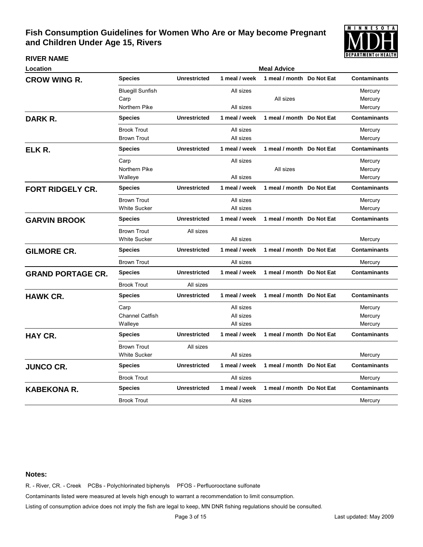

**RIVER NAME**

| Location                 | <b>Meal Advice</b>      |                     |               |                           |  |                     |  |  |
|--------------------------|-------------------------|---------------------|---------------|---------------------------|--|---------------------|--|--|
| <b>CROW WING R.</b>      | <b>Species</b>          | <b>Unrestricted</b> | 1 meal / week | 1 meal / month Do Not Eat |  | <b>Contaminants</b> |  |  |
|                          | <b>Bluegill Sunfish</b> |                     | All sizes     |                           |  | Mercury             |  |  |
|                          | Carp                    |                     |               | All sizes                 |  | Mercury             |  |  |
|                          | Northern Pike           |                     | All sizes     |                           |  | Mercury             |  |  |
| DARK R.                  | <b>Species</b>          | <b>Unrestricted</b> | 1 meal / week | 1 meal / month Do Not Eat |  | <b>Contaminants</b> |  |  |
|                          | <b>Brook Trout</b>      |                     | All sizes     |                           |  | Mercury             |  |  |
|                          | <b>Brown Trout</b>      |                     | All sizes     |                           |  | Mercury             |  |  |
| ELK R.                   | Species                 | <b>Unrestricted</b> | 1 meal / week | 1 meal / month Do Not Eat |  | <b>Contaminants</b> |  |  |
|                          | Carp                    |                     | All sizes     |                           |  | Mercury             |  |  |
|                          | Northern Pike           |                     |               | All sizes                 |  | Mercury             |  |  |
|                          | Walleye                 |                     | All sizes     |                           |  | Mercury             |  |  |
| <b>FORT RIDGELY CR.</b>  | <b>Species</b>          | <b>Unrestricted</b> | 1 meal / week | 1 meal / month Do Not Eat |  | <b>Contaminants</b> |  |  |
|                          | <b>Brown Trout</b>      |                     | All sizes     |                           |  | Mercury             |  |  |
|                          | <b>White Sucker</b>     |                     | All sizes     |                           |  | Mercury             |  |  |
| <b>GARVIN BROOK</b>      | <b>Species</b>          | <b>Unrestricted</b> | 1 meal / week | 1 meal / month Do Not Eat |  | <b>Contaminants</b> |  |  |
|                          | <b>Brown Trout</b>      | All sizes           |               |                           |  |                     |  |  |
|                          | <b>White Sucker</b>     |                     | All sizes     |                           |  | Mercury             |  |  |
| <b>GILMORE CR.</b>       | <b>Species</b>          | <b>Unrestricted</b> | 1 meal / week | 1 meal / month Do Not Eat |  | <b>Contaminants</b> |  |  |
|                          | <b>Brown Trout</b>      |                     | All sizes     |                           |  | Mercury             |  |  |
| <b>GRAND PORTAGE CR.</b> | <b>Species</b>          | <b>Unrestricted</b> | 1 meal / week | 1 meal / month Do Not Eat |  | Contaminants        |  |  |
|                          | <b>Brook Trout</b>      | All sizes           |               |                           |  |                     |  |  |
| <b>HAWK CR.</b>          | <b>Species</b>          | <b>Unrestricted</b> | 1 meal / week | 1 meal / month Do Not Eat |  | <b>Contaminants</b> |  |  |
|                          | Carp                    |                     | All sizes     |                           |  | Mercury             |  |  |
|                          | <b>Channel Catfish</b>  |                     | All sizes     |                           |  | Mercury             |  |  |
|                          | Walleye                 |                     | All sizes     |                           |  | Mercury             |  |  |
| <b>HAY CR.</b>           | Species                 | <b>Unrestricted</b> | 1 meal / week | 1 meal / month Do Not Eat |  | <b>Contaminants</b> |  |  |
|                          | <b>Brown Trout</b>      | All sizes           |               |                           |  |                     |  |  |
|                          | <b>White Sucker</b>     |                     | All sizes     |                           |  | Mercury             |  |  |
| <b>JUNCO CR.</b>         | <b>Species</b>          | <b>Unrestricted</b> | 1 meal / week | 1 meal / month Do Not Eat |  | <b>Contaminants</b> |  |  |
|                          | <b>Brook Trout</b>      |                     | All sizes     |                           |  | Mercury             |  |  |
| <b>KABEKONA R.</b>       | <b>Species</b>          | <b>Unrestricted</b> | 1 meal / week | 1 meal / month Do Not Eat |  | <b>Contaminants</b> |  |  |
|                          | <b>Brook Trout</b>      |                     | All sizes     |                           |  | Mercury             |  |  |
|                          |                         |                     |               |                           |  |                     |  |  |

#### **Notes:**

R. - River, CR. - Creek PCBs - Polychlorinated biphenyls PFOS - Perfluorooctane sulfonate

Contaminants listed were measured at levels high enough to warrant a recommendation to limit consumption.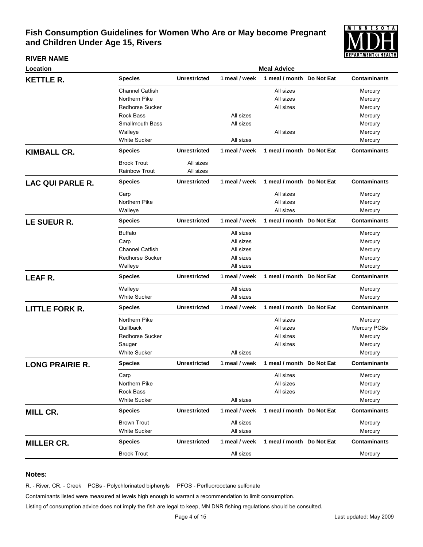

#### **RIVER NAME**

| Location                |                        |                     |               | <b>Meal Advice</b>        |                     |
|-------------------------|------------------------|---------------------|---------------|---------------------------|---------------------|
| <b>KETTLE R.</b>        | <b>Species</b>         | <b>Unrestricted</b> | 1 meal / week | 1 meal / month Do Not Eat | <b>Contaminants</b> |
|                         | <b>Channel Catfish</b> |                     |               | All sizes                 | Mercury             |
|                         | Northern Pike          |                     |               | All sizes                 | Mercury             |
|                         | <b>Redhorse Sucker</b> |                     |               | All sizes                 | Mercury             |
|                         | <b>Rock Bass</b>       |                     | All sizes     |                           | Mercury             |
|                         | <b>Smallmouth Bass</b> |                     | All sizes     |                           | Mercury             |
|                         | Walleye                |                     |               | All sizes                 | Mercury             |
|                         | <b>White Sucker</b>    |                     | All sizes     |                           | Mercury             |
| <b>KIMBALL CR.</b>      | <b>Species</b>         | <b>Unrestricted</b> | 1 meal / week | 1 meal / month Do Not Eat | <b>Contaminants</b> |
|                         | <b>Brook Trout</b>     | All sizes           |               |                           |                     |
|                         | <b>Rainbow Trout</b>   | All sizes           |               |                           |                     |
| <b>LAC QUI PARLE R.</b> | <b>Species</b>         | <b>Unrestricted</b> | 1 meal / week | 1 meal / month Do Not Eat | <b>Contaminants</b> |
|                         | Carp                   |                     |               | All sizes                 | Mercury             |
|                         | Northern Pike          |                     |               | All sizes                 | Mercury             |
|                         | Walleye                |                     |               | All sizes                 | Mercury             |
| LE SUEUR R.             | <b>Species</b>         | <b>Unrestricted</b> | 1 meal / week | 1 meal / month Do Not Eat | <b>Contaminants</b> |
|                         | <b>Buffalo</b>         |                     | All sizes     |                           | Mercury             |
|                         | Carp                   |                     | All sizes     |                           | Mercury             |
|                         | Channel Catfish        |                     | All sizes     |                           | Mercury             |
|                         | <b>Redhorse Sucker</b> |                     | All sizes     |                           | Mercury             |
|                         | Walleye                |                     | All sizes     |                           | Mercury             |
| LEAF R.                 | <b>Species</b>         | <b>Unrestricted</b> | 1 meal / week | 1 meal / month Do Not Eat | <b>Contaminants</b> |
|                         | Walleye                |                     | All sizes     |                           | Mercury             |
|                         | <b>White Sucker</b>    |                     | All sizes     |                           | Mercury             |
| <b>LITTLE FORK R.</b>   | <b>Species</b>         | <b>Unrestricted</b> | 1 meal / week | 1 meal / month Do Not Eat | <b>Contaminants</b> |
|                         | Northern Pike          |                     |               | All sizes                 | Mercury             |
|                         | Quillback              |                     |               | All sizes                 | Mercury PCBs        |
|                         | <b>Redhorse Sucker</b> |                     |               | All sizes                 | Mercury             |
|                         | Sauger                 |                     |               | All sizes                 | Mercury             |
|                         | <b>White Sucker</b>    |                     | All sizes     |                           | Mercury             |
| <b>LONG PRAIRIE R.</b>  | <b>Species</b>         | <b>Unrestricted</b> | 1 meal / week | 1 meal / month Do Not Eat | <b>Contaminants</b> |
|                         | Carp                   |                     |               | All sizes                 | Mercury             |
|                         | Northern Pike          |                     |               | All sizes                 | Mercury             |
|                         | <b>Rock Bass</b>       |                     |               | All sizes                 | Mercury             |
|                         | White Sucker           |                     | All sizes     |                           | Mercury             |
| <b>MILL CR.</b>         | <b>Species</b>         | <b>Unrestricted</b> | 1 meal / week | 1 meal / month Do Not Eat | <b>Contaminants</b> |
|                         | <b>Brown Trout</b>     |                     | All sizes     |                           | Mercury             |
|                         | <b>White Sucker</b>    |                     | All sizes     |                           | Mercury             |
| <b>MILLER CR.</b>       | <b>Species</b>         | <b>Unrestricted</b> | 1 meal / week | 1 meal / month Do Not Eat | <b>Contaminants</b> |
|                         | <b>Brook Trout</b>     |                     | All sizes     |                           | Mercury             |

### **Notes:**

R. - River, CR. - Creek PCBs - Polychlorinated biphenyls PFOS - Perfluorooctane sulfonate

Contaminants listed were measured at levels high enough to warrant a recommendation to limit consumption.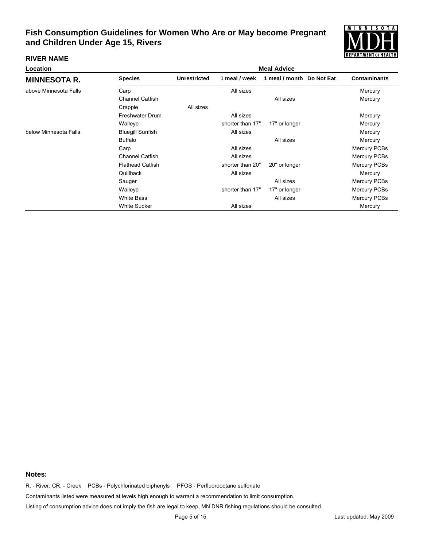

### **RIVER NAME**

| Location              |                         | <b>Meal Advice</b>  |                  |                           |  |                     |  |  |
|-----------------------|-------------------------|---------------------|------------------|---------------------------|--|---------------------|--|--|
| <b>MINNESOTA R.</b>   | <b>Species</b>          | <b>Unrestricted</b> | 1 meal / week    | 1 meal / month Do Not Eat |  | <b>Contaminants</b> |  |  |
| above Minnesota Falls | Carp                    |                     | All sizes        |                           |  | Mercury             |  |  |
|                       | <b>Channel Catfish</b>  |                     |                  | All sizes                 |  | Mercury             |  |  |
|                       | Crappie                 | All sizes           |                  |                           |  |                     |  |  |
|                       | <b>Freshwater Drum</b>  |                     | All sizes        |                           |  | Mercury             |  |  |
|                       | Walleye                 |                     | shorter than 17" | 17" or longer             |  | Mercury             |  |  |
| below Minnesota Falls | <b>Bluegill Sunfish</b> |                     | All sizes        |                           |  | Mercury             |  |  |
|                       | <b>Buffalo</b>          |                     |                  | All sizes                 |  | Mercury             |  |  |
|                       | Carp                    |                     | All sizes        |                           |  | <b>Mercury PCBs</b> |  |  |
|                       | <b>Channel Catfish</b>  |                     | All sizes        |                           |  | Mercury PCBs        |  |  |
|                       | <b>Flathead Catfish</b> |                     | shorter than 20" | 20" or longer             |  | Mercury PCBs        |  |  |
|                       | Quillback               |                     | All sizes        |                           |  | Mercury             |  |  |
|                       | Sauger                  |                     |                  | All sizes                 |  | <b>Mercury PCBs</b> |  |  |
|                       | Walleye                 |                     | shorter than 17" | 17" or longer             |  | <b>Mercury PCBs</b> |  |  |
|                       | <b>White Bass</b>       |                     |                  | All sizes                 |  | Mercury PCBs        |  |  |
|                       | <b>White Sucker</b>     |                     | All sizes        |                           |  | Mercury             |  |  |

### **Notes:**

R. - River, CR. - Creek PCBs - Polychlorinated biphenyls PFOS - Perfluorooctane sulfonate

Contaminants listed were measured at levels high enough to warrant a recommendation to limit consumption.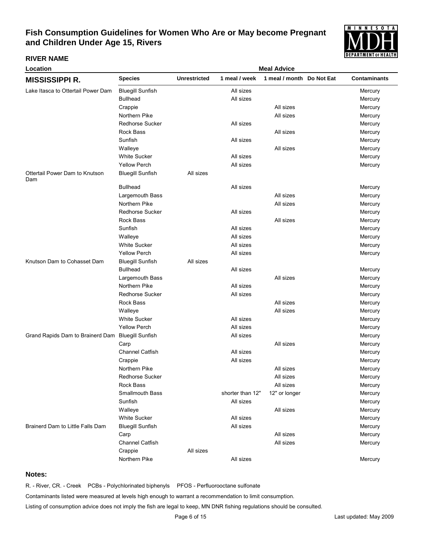

### **RIVER NAME**

| Location                                          | <b>Meal Advice</b>      |                     |                  |                           |  |                     |  |
|---------------------------------------------------|-------------------------|---------------------|------------------|---------------------------|--|---------------------|--|
| <b>MISSISSIPPI R.</b>                             | <b>Species</b>          | <b>Unrestricted</b> | 1 meal / week    | 1 meal / month Do Not Eat |  | <b>Contaminants</b> |  |
| Lake Itasca to Ottertail Power Dam                | <b>Bluegill Sunfish</b> |                     | All sizes        |                           |  | Mercury             |  |
|                                                   | <b>Bullhead</b>         |                     | All sizes        |                           |  | Mercury             |  |
|                                                   | Crappie                 |                     |                  | All sizes                 |  | Mercury             |  |
|                                                   | Northern Pike           |                     |                  | All sizes                 |  | Mercury             |  |
|                                                   | <b>Redhorse Sucker</b>  |                     | All sizes        |                           |  | Mercury             |  |
|                                                   | Rock Bass               |                     |                  | All sizes                 |  | Mercury             |  |
|                                                   | Sunfish                 |                     | All sizes        |                           |  | Mercury             |  |
|                                                   | Walleye                 |                     |                  | All sizes                 |  | Mercury             |  |
|                                                   | <b>White Sucker</b>     |                     | All sizes        |                           |  | Mercury             |  |
|                                                   | <b>Yellow Perch</b>     |                     | All sizes        |                           |  | Mercury             |  |
| Ottertail Power Dam to Knutson<br>Dam             | <b>Bluegill Sunfish</b> | All sizes           |                  |                           |  |                     |  |
|                                                   | <b>Bullhead</b>         |                     | All sizes        |                           |  | Mercury             |  |
|                                                   | Largemouth Bass         |                     |                  | All sizes                 |  | Mercury             |  |
|                                                   | Northern Pike           |                     |                  | All sizes                 |  | Mercury             |  |
|                                                   | <b>Redhorse Sucker</b>  |                     | All sizes        |                           |  | Mercury             |  |
|                                                   | Rock Bass               |                     |                  | All sizes                 |  | Mercury             |  |
|                                                   | Sunfish                 |                     | All sizes        |                           |  | Mercury             |  |
|                                                   | Walleye                 |                     | All sizes        |                           |  | Mercury             |  |
|                                                   | <b>White Sucker</b>     |                     | All sizes        |                           |  | Mercury             |  |
|                                                   | <b>Yellow Perch</b>     |                     | All sizes        |                           |  | Mercury             |  |
| Knutson Dam to Cohasset Dam                       | <b>Bluegill Sunfish</b> | All sizes           |                  |                           |  |                     |  |
|                                                   | <b>Bullhead</b>         |                     | All sizes        |                           |  | Mercury             |  |
|                                                   | Largemouth Bass         |                     |                  | All sizes                 |  | Mercury             |  |
|                                                   | Northern Pike           |                     | All sizes        |                           |  | Mercury             |  |
|                                                   | <b>Redhorse Sucker</b>  |                     | All sizes        |                           |  | Mercury             |  |
|                                                   | Rock Bass               |                     |                  | All sizes                 |  | Mercury             |  |
|                                                   | Walleye                 |                     |                  | All sizes                 |  | Mercury             |  |
|                                                   | <b>White Sucker</b>     |                     | All sizes        |                           |  | Mercury             |  |
|                                                   | <b>Yellow Perch</b>     |                     | All sizes        |                           |  | Mercury             |  |
| Grand Rapids Dam to Brainerd Dam Bluegill Sunfish |                         |                     | All sizes        |                           |  | Mercury             |  |
|                                                   | Carp                    |                     |                  | All sizes                 |  | Mercury             |  |
|                                                   | Channel Catfish         |                     | All sizes        |                           |  | Mercury             |  |
|                                                   | Crappie                 |                     | All sizes        |                           |  | Mercury             |  |
|                                                   | Northern Pike           |                     |                  | All sizes                 |  | Mercury             |  |
|                                                   | Redhorse Sucker         |                     |                  | All sizes                 |  | Mercury             |  |
|                                                   | Rock Bass               |                     |                  | All sizes                 |  | Mercury             |  |
|                                                   | Smallmouth Bass         |                     | shorter than 12" | 12" or longer             |  | Mercury             |  |
|                                                   | Sunfish                 |                     | All sizes        |                           |  | Mercury             |  |
|                                                   | Walleye                 |                     |                  | All sizes                 |  | Mercury             |  |
|                                                   | <b>White Sucker</b>     |                     | All sizes        |                           |  | Mercury             |  |
| Brainerd Dam to Little Falls Dam                  | <b>Bluegill Sunfish</b> |                     | All sizes        |                           |  | Mercury             |  |
|                                                   | Carp                    |                     |                  | All sizes                 |  | Mercury             |  |
|                                                   | Channel Catfish         |                     |                  | All sizes                 |  | Mercury             |  |
|                                                   | Crappie                 | All sizes           |                  |                           |  |                     |  |
|                                                   | Northern Pike           |                     | All sizes        |                           |  | Mercury             |  |
|                                                   |                         |                     |                  |                           |  |                     |  |

### **Notes:**

R. - River, CR. - Creek PCBs - Polychlorinated biphenyls PFOS - Perfluorooctane sulfonate

Contaminants listed were measured at levels high enough to warrant a recommendation to limit consumption.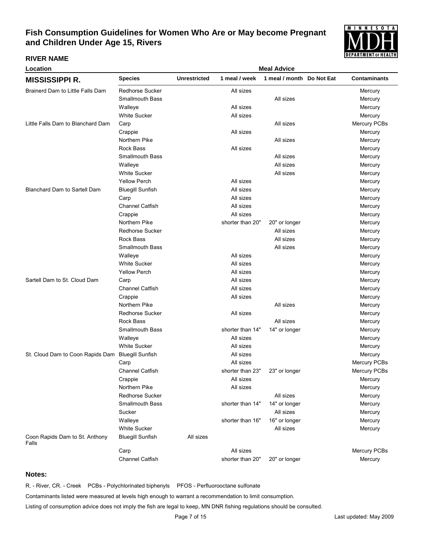

#### **RIVER NAME**

| Location                                          | <b>Meal Advice</b>      |                     |                  |                           |  |                     |  |
|---------------------------------------------------|-------------------------|---------------------|------------------|---------------------------|--|---------------------|--|
| <b>MISSISSIPPI R.</b>                             | <b>Species</b>          | <b>Unrestricted</b> | 1 meal / week    | 1 meal / month Do Not Eat |  | <b>Contaminants</b> |  |
| Brainerd Dam to Little Falls Dam                  | Redhorse Sucker         |                     | All sizes        |                           |  | Mercury             |  |
|                                                   | <b>Smallmouth Bass</b>  |                     |                  | All sizes                 |  | Mercury             |  |
|                                                   | Walleye                 |                     | All sizes        |                           |  | Mercury             |  |
|                                                   | <b>White Sucker</b>     |                     | All sizes        |                           |  | Mercury             |  |
| Little Falls Dam to Blanchard Dam                 | Carp                    |                     |                  | All sizes                 |  | Mercury PCBs        |  |
|                                                   | Crappie                 |                     | All sizes        |                           |  | Mercury             |  |
|                                                   | Northern Pike           |                     |                  | All sizes                 |  | Mercury             |  |
|                                                   | Rock Bass               |                     | All sizes        |                           |  | Mercury             |  |
|                                                   | <b>Smallmouth Bass</b>  |                     |                  | All sizes                 |  | Mercury             |  |
|                                                   | Walleye                 |                     |                  | All sizes                 |  | Mercury             |  |
|                                                   | <b>White Sucker</b>     |                     |                  | All sizes                 |  | Mercury             |  |
|                                                   | <b>Yellow Perch</b>     |                     | All sizes        |                           |  | Mercury             |  |
| <b>Blanchard Dam to Sartell Dam</b>               | <b>Bluegill Sunfish</b> |                     | All sizes        |                           |  | Mercury             |  |
|                                                   | Carp                    |                     | All sizes        |                           |  | Mercury             |  |
|                                                   | <b>Channel Catfish</b>  |                     | All sizes        |                           |  | Mercury             |  |
|                                                   | Crappie                 |                     | All sizes        |                           |  | Mercury             |  |
|                                                   | Northern Pike           |                     | shorter than 20" | 20" or longer             |  | Mercury             |  |
|                                                   | <b>Redhorse Sucker</b>  |                     |                  | All sizes                 |  | Mercury             |  |
|                                                   | Rock Bass               |                     |                  | All sizes                 |  | Mercury             |  |
|                                                   | <b>Smallmouth Bass</b>  |                     |                  | All sizes                 |  | Mercury             |  |
|                                                   | Walleye                 |                     | All sizes        |                           |  | Mercury             |  |
|                                                   | <b>White Sucker</b>     |                     | All sizes        |                           |  | Mercury             |  |
|                                                   | <b>Yellow Perch</b>     |                     | All sizes        |                           |  | Mercury             |  |
| Sartell Dam to St. Cloud Dam                      | Carp                    |                     | All sizes        |                           |  | Mercury             |  |
|                                                   | <b>Channel Catfish</b>  |                     | All sizes        |                           |  | Mercury             |  |
|                                                   | Crappie                 |                     | All sizes        |                           |  | Mercury             |  |
|                                                   | Northern Pike           |                     |                  | All sizes                 |  | Mercury             |  |
|                                                   | <b>Redhorse Sucker</b>  |                     | All sizes        |                           |  | Mercury             |  |
|                                                   | Rock Bass               |                     |                  | All sizes                 |  | Mercury             |  |
|                                                   | <b>Smallmouth Bass</b>  |                     | shorter than 14" | 14" or longer             |  | Mercury             |  |
|                                                   | Walleye                 |                     | All sizes        |                           |  | Mercury             |  |
|                                                   | <b>White Sucker</b>     |                     | All sizes        |                           |  | Mercury             |  |
| St. Cloud Dam to Coon Rapids Dam Bluegill Sunfish |                         |                     | All sizes        |                           |  | Mercury             |  |
|                                                   | Carp                    |                     | All sizes        |                           |  | Mercury PCBs        |  |
|                                                   | <b>Channel Catfish</b>  |                     | shorter than 23" | 23" or longer             |  | Mercury PCBs        |  |
|                                                   | Crappie                 |                     | All sizes        |                           |  | Mercury             |  |
|                                                   | Northern Pike           |                     | All sizes        |                           |  | Mercury             |  |
|                                                   | <b>Redhorse Sucker</b>  |                     |                  | All sizes                 |  | Mercury             |  |
|                                                   | <b>Smallmouth Bass</b>  |                     | shorter than 14" | 14" or longer             |  | Mercury             |  |
|                                                   | Sucker                  |                     |                  | All sizes                 |  | Mercury             |  |
|                                                   | Walleye                 |                     | shorter than 16" | 16" or longer             |  | Mercury             |  |
|                                                   | <b>White Sucker</b>     |                     |                  | All sizes                 |  | Mercury             |  |
| Coon Rapids Dam to St. Anthony<br>Falls           | <b>Bluegill Sunfish</b> | All sizes           |                  |                           |  |                     |  |
|                                                   | Carp                    |                     | All sizes        |                           |  | Mercury PCBs        |  |
|                                                   | Channel Catfish         |                     | shorter than 20" | 20" or longer             |  | Mercury             |  |
|                                                   |                         |                     |                  |                           |  |                     |  |

### **Notes:**

R. - River, CR. - Creek PCBs - Polychlorinated biphenyls PFOS - Perfluorooctane sulfonate

Contaminants listed were measured at levels high enough to warrant a recommendation to limit consumption.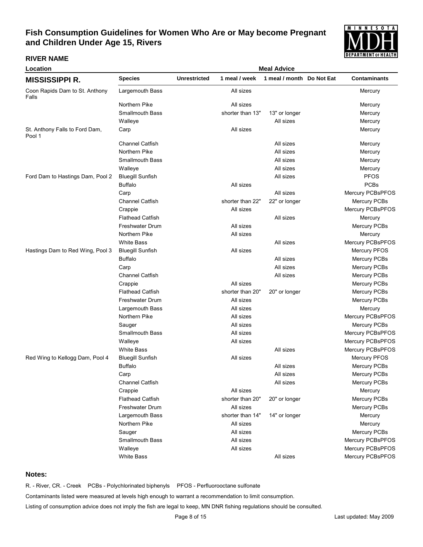

### **RIVER NAME**

| Location                                 | <b>Meal Advice</b>      |                     |                  |                           |  |                     |  |  |
|------------------------------------------|-------------------------|---------------------|------------------|---------------------------|--|---------------------|--|--|
| <b>MISSISSIPPI R.</b>                    | <b>Species</b>          | <b>Unrestricted</b> | 1 meal / week    | 1 meal / month Do Not Eat |  | <b>Contaminants</b> |  |  |
| Coon Rapids Dam to St. Anthony<br>Falls  | Largemouth Bass         |                     | All sizes        |                           |  | Mercury             |  |  |
|                                          | Northern Pike           |                     | All sizes        |                           |  | Mercury             |  |  |
|                                          | <b>Smallmouth Bass</b>  |                     | shorter than 13" | 13" or longer             |  | Mercury             |  |  |
|                                          | Walleye                 |                     |                  | All sizes                 |  | Mercury             |  |  |
| St. Anthony Falls to Ford Dam,<br>Pool 1 | Carp                    |                     | All sizes        |                           |  | Mercury             |  |  |
|                                          | <b>Channel Catfish</b>  |                     |                  | All sizes                 |  | Mercury             |  |  |
|                                          | Northern Pike           |                     |                  | All sizes                 |  | Mercury             |  |  |
|                                          | <b>Smallmouth Bass</b>  |                     |                  | All sizes                 |  | Mercury             |  |  |
|                                          | Walleye                 |                     |                  | All sizes                 |  | Mercury             |  |  |
| Ford Dam to Hastings Dam, Pool 2         | <b>Bluegill Sunfish</b> |                     |                  | All sizes                 |  | <b>PFOS</b>         |  |  |
|                                          | <b>Buffalo</b>          |                     | All sizes        |                           |  | <b>PCBs</b>         |  |  |
|                                          | Carp                    |                     |                  | All sizes                 |  | Mercury PCBsPFOS    |  |  |
|                                          | Channel Catfish         |                     | shorter than 22" | 22" or longer             |  | Mercury PCBs        |  |  |
|                                          | Crappie                 |                     | All sizes        |                           |  | Mercury PCBsPFOS    |  |  |
|                                          | <b>Flathead Catfish</b> |                     |                  | All sizes                 |  | Mercury             |  |  |
|                                          | <b>Freshwater Drum</b>  |                     | All sizes        |                           |  | Mercury PCBs        |  |  |
|                                          | Northern Pike           |                     | All sizes        |                           |  | Mercury             |  |  |
|                                          | <b>White Bass</b>       |                     |                  | All sizes                 |  | Mercury PCBsPFOS    |  |  |
| Hastings Dam to Red Wing, Pool 3         | <b>Bluegill Sunfish</b> |                     | All sizes        |                           |  | Mercury PFOS        |  |  |
|                                          | <b>Buffalo</b>          |                     |                  | All sizes                 |  | Mercury PCBs        |  |  |
|                                          | Carp                    |                     |                  | All sizes                 |  | Mercury PCBs        |  |  |
|                                          | <b>Channel Catfish</b>  |                     |                  | All sizes                 |  | Mercury PCBs        |  |  |
|                                          | Crappie                 |                     | All sizes        |                           |  | Mercury PCBs        |  |  |
|                                          | <b>Flathead Catfish</b> |                     | shorter than 20" | 20" or longer             |  | Mercury PCBs        |  |  |
|                                          | Freshwater Drum         |                     | All sizes        |                           |  | Mercury PCBs        |  |  |
|                                          | Largemouth Bass         |                     | All sizes        |                           |  | Mercury             |  |  |
|                                          | Northern Pike           |                     | All sizes        |                           |  | Mercury PCBsPFOS    |  |  |
|                                          | Sauger                  |                     | All sizes        |                           |  | Mercury PCBs        |  |  |
|                                          | <b>Smallmouth Bass</b>  |                     | All sizes        |                           |  | Mercury PCBsPFOS    |  |  |
|                                          | Walleye                 |                     | All sizes        |                           |  | Mercury PCBsPFOS    |  |  |
|                                          | <b>White Bass</b>       |                     |                  | All sizes                 |  | Mercury PCBsPFOS    |  |  |
| Red Wing to Kellogg Dam, Pool 4          | <b>Bluegill Sunfish</b> |                     | All sizes        |                           |  | Mercury PFOS        |  |  |
|                                          | <b>Buffalo</b>          |                     |                  | All sizes                 |  | Mercury PCBs        |  |  |
|                                          | Carp                    |                     |                  | All sizes                 |  | Mercury PCBs        |  |  |
|                                          | Channel Catfish         |                     |                  | All sizes                 |  | Mercury PCBs        |  |  |
|                                          | Crappie                 |                     | All sizes        |                           |  | Mercury             |  |  |
|                                          | <b>Flathead Catfish</b> |                     | shorter than 20" | 20" or longer             |  | Mercury PCBs        |  |  |
|                                          | Freshwater Drum         |                     | All sizes        |                           |  | Mercury PCBs        |  |  |
|                                          | Largemouth Bass         |                     | shorter than 14" | 14" or longer             |  | Mercury             |  |  |
|                                          | Northern Pike           |                     | All sizes        |                           |  | Mercury             |  |  |
|                                          | Sauger                  |                     | All sizes        |                           |  | Mercury PCBs        |  |  |
|                                          | Smallmouth Bass         |                     | All sizes        |                           |  | Mercury PCBsPFOS    |  |  |
|                                          | Walleye                 |                     | All sizes        |                           |  | Mercury PCBsPFOS    |  |  |
|                                          | <b>White Bass</b>       |                     |                  | All sizes                 |  | Mercury PCBsPFOS    |  |  |
|                                          |                         |                     |                  |                           |  |                     |  |  |

### **Notes:**

R. - River, CR. - Creek PCBs - Polychlorinated biphenyls PFOS - Perfluorooctane sulfonate

Contaminants listed were measured at levels high enough to warrant a recommendation to limit consumption.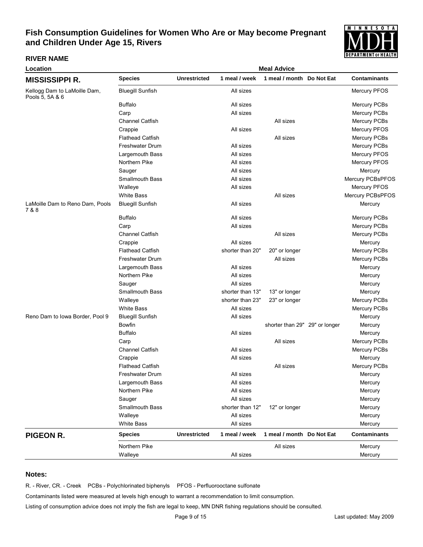

#### **RIVER NAME**

| Location                                        | <b>Meal Advice</b>      |                     |                  |                                |  |                     |
|-------------------------------------------------|-------------------------|---------------------|------------------|--------------------------------|--|---------------------|
| <b>MISSISSIPPI R.</b>                           | <b>Species</b>          | <b>Unrestricted</b> | 1 meal / week    | 1 meal / month Do Not Eat      |  | <b>Contaminants</b> |
| Kellogg Dam to LaMoille Dam,<br>Pools 5, 5A & 6 | <b>Bluegill Sunfish</b> |                     | All sizes        |                                |  | <b>Mercury PFOS</b> |
|                                                 | <b>Buffalo</b>          |                     | All sizes        |                                |  | <b>Mercury PCBs</b> |
|                                                 | Carp                    |                     | All sizes        |                                |  | Mercury PCBs        |
|                                                 | <b>Channel Catfish</b>  |                     |                  | All sizes                      |  | Mercury PCBs        |
|                                                 | Crappie                 |                     | All sizes        |                                |  | <b>Mercury PFOS</b> |
|                                                 | <b>Flathead Catfish</b> |                     |                  | All sizes                      |  | <b>Mercury PCBs</b> |
|                                                 | Freshwater Drum         |                     | All sizes        |                                |  | Mercury PCBs        |
|                                                 | Largemouth Bass         |                     | All sizes        |                                |  | Mercury PFOS        |
|                                                 | Northern Pike           |                     | All sizes        |                                |  | Mercury PFOS        |
|                                                 | Sauger                  |                     | All sizes        |                                |  | Mercury             |
|                                                 | <b>Smallmouth Bass</b>  |                     | All sizes        |                                |  | Mercury PCBsPFOS    |
|                                                 | Walleye                 |                     | All sizes        |                                |  | Mercury PFOS        |
|                                                 | <b>White Bass</b>       |                     |                  | All sizes                      |  | Mercury PCBsPFOS    |
| LaMoille Dam to Reno Dam, Pools<br>7 & 8        | <b>Bluegill Sunfish</b> |                     | All sizes        |                                |  | Mercury             |
|                                                 | <b>Buffalo</b>          |                     | All sizes        |                                |  | <b>Mercury PCBs</b> |
|                                                 | Carp                    |                     | All sizes        |                                |  | Mercury PCBs        |
|                                                 | <b>Channel Catfish</b>  |                     |                  | All sizes                      |  | Mercury PCBs        |
|                                                 | Crappie                 |                     | All sizes        |                                |  | Mercury             |
|                                                 | <b>Flathead Catfish</b> |                     | shorter than 20" | 20" or longer                  |  | Mercury PCBs        |
|                                                 | Freshwater Drum         |                     |                  | All sizes                      |  | Mercury PCBs        |
|                                                 | Largemouth Bass         |                     | All sizes        |                                |  | Mercury             |
|                                                 | Northern Pike           |                     | All sizes        |                                |  | Mercury             |
|                                                 | Sauger                  |                     | All sizes        |                                |  | Mercury             |
|                                                 | <b>Smallmouth Bass</b>  |                     | shorter than 13" | 13" or longer                  |  | Mercury             |
|                                                 | Walleye                 |                     | shorter than 23" | 23" or longer                  |  | Mercury PCBs        |
|                                                 | <b>White Bass</b>       |                     | All sizes        |                                |  | <b>Mercury PCBs</b> |
| Reno Dam to Iowa Border, Pool 9                 | <b>Bluegill Sunfish</b> |                     | All sizes        |                                |  | Mercury             |
|                                                 | Bowfin                  |                     |                  | shorter than 29" 29" or longer |  | Mercury             |
|                                                 | <b>Buffalo</b>          |                     | All sizes        |                                |  | Mercury             |
|                                                 | Carp                    |                     |                  | All sizes                      |  | Mercury PCBs        |
|                                                 | Channel Catfish         |                     | All sizes        |                                |  | <b>Mercury PCBs</b> |
|                                                 | Crappie                 |                     | All sizes        |                                |  | Mercury             |
|                                                 | <b>Flathead Catfish</b> |                     |                  | All sizes                      |  | Mercury PCBs        |
|                                                 | Freshwater Drum         |                     | All sizes        |                                |  | Mercury             |
|                                                 | Largemouth Bass         |                     | All sizes        |                                |  | Mercury             |
|                                                 | Northern Pike           |                     | All sizes        |                                |  | Mercury             |
|                                                 | Sauger                  |                     | All sizes        |                                |  | Mercury             |
|                                                 | <b>Smallmouth Bass</b>  |                     | shorter than 12" | 12" or longer                  |  | Mercury             |
|                                                 | Walleye                 |                     | All sizes        |                                |  | Mercury             |
|                                                 | <b>White Bass</b>       |                     | All sizes        |                                |  | Mercury             |
| <b>PIGEON R.</b>                                | <b>Species</b>          | <b>Unrestricted</b> | 1 meal / week    | 1 meal / month Do Not Eat      |  | <b>Contaminants</b> |
|                                                 | Northern Pike           |                     |                  | All sizes                      |  | Mercury             |
|                                                 | Walleye                 |                     | All sizes        |                                |  | Mercury             |

### **Notes:**

R. - River, CR. - Creek PCBs - Polychlorinated biphenyls PFOS - Perfluorooctane sulfonate

Contaminants listed were measured at levels high enough to warrant a recommendation to limit consumption.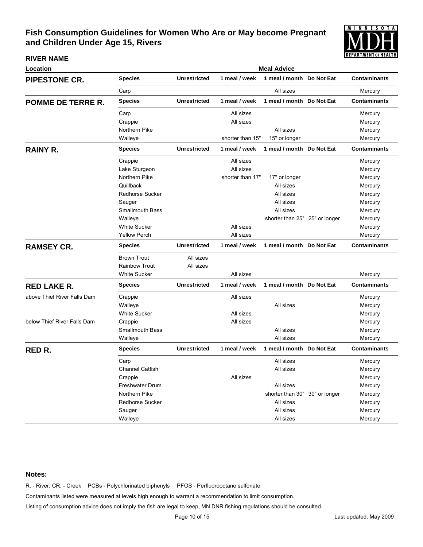

**RIVER NAME**

| Location                    |                        | <b>Meal Advice</b>  |                  |                                |               |                     |  |  |  |  |
|-----------------------------|------------------------|---------------------|------------------|--------------------------------|---------------|---------------------|--|--|--|--|
| <b>PIPESTONE CR.</b>        | <b>Species</b>         | <b>Unrestricted</b> | 1 meal / week    | 1 meal / month Do Not Eat      |               | <b>Contaminants</b> |  |  |  |  |
|                             | Carp                   |                     |                  | All sizes                      |               | Mercury             |  |  |  |  |
| <b>POMME DE TERRE R.</b>    | <b>Species</b>         | <b>Unrestricted</b> | 1 meal / week    | 1 meal / month Do Not Eat      |               | <b>Contaminants</b> |  |  |  |  |
|                             | Carp                   |                     | All sizes        |                                |               | Mercury             |  |  |  |  |
|                             | Crappie                |                     | All sizes        |                                |               | Mercury             |  |  |  |  |
|                             | Northern Pike          |                     |                  | All sizes                      |               | Mercury             |  |  |  |  |
|                             | Walleye                |                     | shorter than 15" | 15" or longer                  |               | Mercury             |  |  |  |  |
| <b>RAINY R.</b>             | <b>Species</b>         | <b>Unrestricted</b> | 1 meal / week    | 1 meal / month Do Not Eat      |               | <b>Contaminants</b> |  |  |  |  |
|                             | Crappie                |                     | All sizes        |                                |               | Mercury             |  |  |  |  |
|                             | Lake Sturgeon          |                     | All sizes        |                                |               | Mercury             |  |  |  |  |
|                             | Northern Pike          |                     | shorter than 17" | 17" or longer                  |               | Mercury             |  |  |  |  |
|                             | Quillback              |                     |                  | All sizes                      |               | Mercury             |  |  |  |  |
|                             | <b>Redhorse Sucker</b> |                     |                  | All sizes                      |               | Mercury             |  |  |  |  |
|                             | Sauger                 |                     |                  | All sizes                      |               | Mercury             |  |  |  |  |
|                             | <b>Smallmouth Bass</b> |                     |                  | All sizes                      |               | Mercury             |  |  |  |  |
|                             | Walleye                |                     |                  | shorter than 25" 25" or longer |               | Mercury             |  |  |  |  |
|                             | <b>White Sucker</b>    |                     | All sizes        |                                |               | Mercury             |  |  |  |  |
|                             | <b>Yellow Perch</b>    |                     | All sizes        |                                |               | Mercury             |  |  |  |  |
| <b>RAMSEY CR.</b>           | <b>Species</b>         | <b>Unrestricted</b> | 1 meal / week    | 1 meal / month Do Not Eat      |               | <b>Contaminants</b> |  |  |  |  |
|                             | <b>Brown Trout</b>     | All sizes           |                  |                                |               |                     |  |  |  |  |
|                             | <b>Rainbow Trout</b>   | All sizes           |                  |                                |               |                     |  |  |  |  |
|                             | <b>White Sucker</b>    |                     | All sizes        |                                |               | Mercury             |  |  |  |  |
| <b>RED LAKE R.</b>          | <b>Species</b>         | <b>Unrestricted</b> | 1 meal / week    | 1 meal / month Do Not Eat      |               | <b>Contaminants</b> |  |  |  |  |
| above Thief River Falls Dam | Crappie                |                     | All sizes        |                                |               | Mercury             |  |  |  |  |
|                             | Walleye                |                     |                  | All sizes                      |               | Mercury             |  |  |  |  |
|                             | White Sucker           |                     | All sizes        |                                |               | Mercury             |  |  |  |  |
| below Thief River Falls Dam | Crappie                |                     | All sizes        |                                |               | Mercury             |  |  |  |  |
|                             | <b>Smallmouth Bass</b> |                     |                  | All sizes                      |               | Mercury             |  |  |  |  |
|                             | Walleye                |                     |                  | All sizes                      |               | Mercury             |  |  |  |  |
| <b>RED R.</b>               | <b>Species</b>         | <b>Unrestricted</b> | 1 meal / week    | 1 meal / month Do Not Eat      |               | <b>Contaminants</b> |  |  |  |  |
|                             | Carp                   |                     |                  | All sizes                      |               | Mercury             |  |  |  |  |
|                             | <b>Channel Catfish</b> |                     |                  | All sizes                      |               | Mercury             |  |  |  |  |
|                             | Crappie                |                     | All sizes        |                                |               | Mercury             |  |  |  |  |
|                             | Freshwater Drum        |                     |                  | All sizes                      |               | Mercury             |  |  |  |  |
|                             | Northern Pike          |                     |                  | shorter than 30"               | 30" or longer | Mercury             |  |  |  |  |
|                             | <b>Redhorse Sucker</b> |                     |                  | All sizes                      |               | Mercury             |  |  |  |  |
|                             | Sauger                 |                     |                  | All sizes                      |               | Mercury             |  |  |  |  |
|                             | Walleye                |                     |                  | All sizes                      |               | Mercury             |  |  |  |  |

### **Notes:**

R. - River, CR. - Creek PCBs - Polychlorinated biphenyls PFOS - Perfluorooctane sulfonate

Contaminants listed were measured at levels high enough to warrant a recommendation to limit consumption.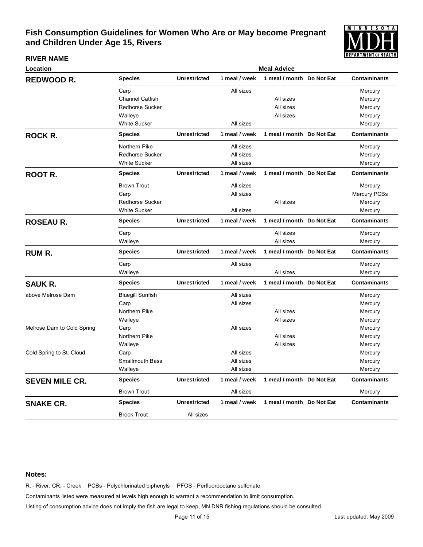

#### **RIVER NAME**

| Location                   | <b>Meal Advice</b>      |                     |               |                           |  |                     |  |  |  |
|----------------------------|-------------------------|---------------------|---------------|---------------------------|--|---------------------|--|--|--|
| <b>REDWOOD R.</b>          | Species                 | <b>Unrestricted</b> | 1 meal / week | 1 meal / month Do Not Eat |  | <b>Contaminants</b> |  |  |  |
|                            | Carp                    |                     | All sizes     |                           |  | Mercury             |  |  |  |
|                            | Channel Catfish         |                     |               | All sizes                 |  | Mercury             |  |  |  |
|                            | <b>Redhorse Sucker</b>  |                     |               | All sizes                 |  | Mercury             |  |  |  |
|                            | Walleye                 |                     |               | All sizes                 |  | Mercury             |  |  |  |
|                            | <b>White Sucker</b>     |                     | All sizes     |                           |  | Mercury             |  |  |  |
| <b>ROCK R.</b>             | <b>Species</b>          | <b>Unrestricted</b> | 1 meal / week | 1 meal / month Do Not Eat |  | <b>Contaminants</b> |  |  |  |
|                            | Northern Pike           |                     | All sizes     |                           |  | Mercury             |  |  |  |
|                            | Redhorse Sucker         |                     | All sizes     |                           |  | Mercury             |  |  |  |
|                            | <b>White Sucker</b>     |                     | All sizes     |                           |  | Mercury             |  |  |  |
| <b>ROOT R.</b>             | <b>Species</b>          | <b>Unrestricted</b> | 1 meal / week | 1 meal / month Do Not Eat |  | <b>Contaminants</b> |  |  |  |
|                            | <b>Brown Trout</b>      |                     | All sizes     |                           |  | Mercury             |  |  |  |
|                            | Carp                    |                     | All sizes     |                           |  | Mercury PCBs        |  |  |  |
|                            | <b>Redhorse Sucker</b>  |                     |               | All sizes                 |  | Mercury             |  |  |  |
|                            | <b>White Sucker</b>     |                     | All sizes     |                           |  | Mercury             |  |  |  |
| <b>ROSEAU R.</b>           | <b>Species</b>          | <b>Unrestricted</b> | 1 meal / week | 1 meal / month Do Not Eat |  | <b>Contaminants</b> |  |  |  |
|                            | Carp                    |                     |               | All sizes                 |  | Mercury             |  |  |  |
|                            | Walleye                 |                     |               | All sizes                 |  | Mercury             |  |  |  |
| <b>RUM R.</b>              | <b>Species</b>          | <b>Unrestricted</b> | 1 meal / week | 1 meal / month Do Not Eat |  | <b>Contaminants</b> |  |  |  |
|                            | Carp                    |                     | All sizes     |                           |  | Mercury             |  |  |  |
|                            | Walleye                 |                     |               | All sizes                 |  | Mercury             |  |  |  |
| <b>SAUK R.</b>             | <b>Species</b>          | <b>Unrestricted</b> | 1 meal / week | 1 meal / month Do Not Eat |  | <b>Contaminants</b> |  |  |  |
| above Melrose Dam          | <b>Bluegill Sunfish</b> |                     | All sizes     |                           |  | Mercury             |  |  |  |
|                            | Carp                    |                     | All sizes     |                           |  | Mercury             |  |  |  |
|                            | Northern Pike           |                     |               | All sizes                 |  | Mercury             |  |  |  |
|                            | Walleye                 |                     |               | All sizes                 |  | Mercury             |  |  |  |
| Melrose Dam to Cold Spring | Carp                    |                     | All sizes     |                           |  | Mercury             |  |  |  |
|                            | Northern Pike           |                     |               | All sizes                 |  | Mercury             |  |  |  |
|                            | Walleye                 |                     |               | All sizes                 |  | Mercury             |  |  |  |
| Cold Spring to St. Cloud   | Carp                    |                     | All sizes     |                           |  | Mercury             |  |  |  |
|                            | <b>Smallmouth Bass</b>  |                     | All sizes     |                           |  | Mercury             |  |  |  |
|                            | Walleye                 |                     | All sizes     |                           |  | Mercury             |  |  |  |
| <b>SEVEN MILE CR.</b>      | <b>Species</b>          | <b>Unrestricted</b> | 1 meal / week | 1 meal / month Do Not Eat |  | <b>Contaminants</b> |  |  |  |
|                            | <b>Brown Trout</b>      |                     | All sizes     |                           |  | Mercury             |  |  |  |
| <b>SNAKE CR.</b>           | <b>Species</b>          | <b>Unrestricted</b> | 1 meal / week | 1 meal / month Do Not Eat |  | <b>Contaminants</b> |  |  |  |
|                            | <b>Brook Trout</b>      | All sizes           |               |                           |  |                     |  |  |  |

#### **Notes:**

R. - River, CR. - Creek PCBs - Polychlorinated biphenyls PFOS - Perfluorooctane sulfonate

Contaminants listed were measured at levels high enough to warrant a recommendation to limit consumption.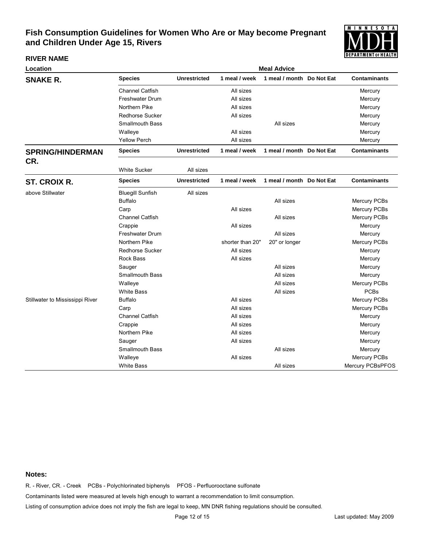

#### **RIVER NAME**

| Location                        | <b>Meal Advice</b>      |                     |                  |                           |  |                     |  |  |  |
|---------------------------------|-------------------------|---------------------|------------------|---------------------------|--|---------------------|--|--|--|
| <b>SNAKE R.</b>                 | <b>Species</b>          | <b>Unrestricted</b> | 1 meal / week    | 1 meal / month Do Not Eat |  | <b>Contaminants</b> |  |  |  |
|                                 | <b>Channel Catfish</b>  |                     | All sizes        |                           |  | Mercury             |  |  |  |
|                                 | Freshwater Drum         |                     | All sizes        |                           |  | Mercury             |  |  |  |
|                                 | Northern Pike           |                     | All sizes        |                           |  | Mercury             |  |  |  |
|                                 | <b>Redhorse Sucker</b>  |                     | All sizes        |                           |  | Mercury             |  |  |  |
|                                 | <b>Smallmouth Bass</b>  |                     |                  | All sizes                 |  | Mercury             |  |  |  |
|                                 | Walleye                 |                     | All sizes        |                           |  | Mercury             |  |  |  |
|                                 | <b>Yellow Perch</b>     |                     | All sizes        |                           |  | Mercury             |  |  |  |
| <b>SPRING/HINDERMAN</b>         | <b>Species</b>          | <b>Unrestricted</b> | 1 meal / week    | 1 meal / month Do Not Eat |  | <b>Contaminants</b> |  |  |  |
| CR.                             |                         |                     |                  |                           |  |                     |  |  |  |
|                                 | <b>White Sucker</b>     | All sizes           |                  |                           |  |                     |  |  |  |
| <b>ST. CROIX R.</b>             | <b>Species</b>          | <b>Unrestricted</b> | 1 meal / week    | 1 meal / month Do Not Eat |  | <b>Contaminants</b> |  |  |  |
| above Stillwater                | <b>Bluegill Sunfish</b> | All sizes           |                  |                           |  |                     |  |  |  |
|                                 | <b>Buffalo</b>          |                     |                  | All sizes                 |  | Mercury PCBs        |  |  |  |
|                                 | Carp                    |                     | All sizes        |                           |  | Mercury PCBs        |  |  |  |
|                                 | <b>Channel Catfish</b>  |                     |                  | All sizes                 |  | Mercury PCBs        |  |  |  |
|                                 | Crappie                 |                     | All sizes        |                           |  | Mercury             |  |  |  |
|                                 | <b>Freshwater Drum</b>  |                     |                  | All sizes                 |  | Mercury             |  |  |  |
|                                 | Northern Pike           |                     | shorter than 20" | 20" or longer             |  | Mercury PCBs        |  |  |  |
|                                 | <b>Redhorse Sucker</b>  |                     | All sizes        |                           |  | Mercury             |  |  |  |
|                                 | Rock Bass               |                     | All sizes        |                           |  | Mercury             |  |  |  |
|                                 | Sauger                  |                     |                  | All sizes                 |  | Mercury             |  |  |  |
|                                 | <b>Smallmouth Bass</b>  |                     |                  | All sizes                 |  | Mercury             |  |  |  |
|                                 | Walleye                 |                     |                  | All sizes                 |  | Mercury PCBs        |  |  |  |
|                                 | <b>White Bass</b>       |                     |                  | All sizes                 |  | <b>PCBs</b>         |  |  |  |
| Stillwater to Mississippi River | <b>Buffalo</b>          |                     | All sizes        |                           |  | Mercury PCBs        |  |  |  |
|                                 | Carp                    |                     | All sizes        |                           |  | Mercury PCBs        |  |  |  |
|                                 | <b>Channel Catfish</b>  |                     | All sizes        |                           |  | Mercury             |  |  |  |
|                                 | Crappie                 |                     | All sizes        |                           |  | Mercury             |  |  |  |
|                                 | Northern Pike           |                     | All sizes        |                           |  | Mercury             |  |  |  |
|                                 | Sauger                  |                     | All sizes        |                           |  | Mercury             |  |  |  |
|                                 | <b>Smallmouth Bass</b>  |                     |                  | All sizes                 |  | Mercury             |  |  |  |
|                                 | Walleye                 |                     | All sizes        |                           |  | Mercury PCBs        |  |  |  |
|                                 | <b>White Bass</b>       |                     |                  | All sizes                 |  | Mercury PCBsPFOS    |  |  |  |

### **Notes:**

R. - River, CR. - Creek PCBs - Polychlorinated biphenyls PFOS - Perfluorooctane sulfonate

Contaminants listed were measured at levels high enough to warrant a recommendation to limit consumption.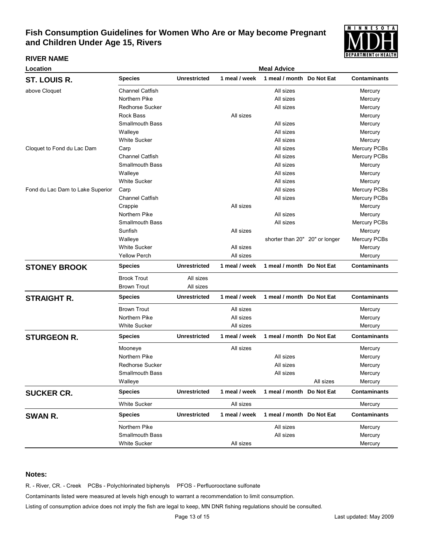

### **RIVER NAME**

| Location                         |                        |                     |               | <b>Meal Advice</b>             |           |                     |
|----------------------------------|------------------------|---------------------|---------------|--------------------------------|-----------|---------------------|
| ST. LOUIS R.                     | <b>Species</b>         | <b>Unrestricted</b> | 1 meal / week | 1 meal / month Do Not Eat      |           | <b>Contaminants</b> |
| above Cloquet                    | Channel Catfish        |                     |               | All sizes                      |           | Mercury             |
|                                  | Northern Pike          |                     |               | All sizes                      |           | Mercury             |
|                                  | <b>Redhorse Sucker</b> |                     |               | All sizes                      |           | Mercury             |
|                                  | <b>Rock Bass</b>       |                     | All sizes     |                                |           | Mercury             |
|                                  | <b>Smallmouth Bass</b> |                     |               | All sizes                      |           | Mercury             |
|                                  | Walleye                |                     |               | All sizes                      |           | Mercury             |
|                                  | <b>White Sucker</b>    |                     |               | All sizes                      |           | Mercury             |
| Cloquet to Fond du Lac Dam       | Carp                   |                     |               | All sizes                      |           | Mercury PCBs        |
|                                  | <b>Channel Catfish</b> |                     |               | All sizes                      |           | Mercury PCBs        |
|                                  | <b>Smallmouth Bass</b> |                     |               | All sizes                      |           | Mercury             |
|                                  | Walleye                |                     |               | All sizes                      |           | Mercury             |
|                                  | <b>White Sucker</b>    |                     |               | All sizes                      |           | Mercury             |
| Fond du Lac Dam to Lake Superior | Carp                   |                     |               | All sizes                      |           | Mercury PCBs        |
|                                  | <b>Channel Catfish</b> |                     |               | All sizes                      |           | Mercury PCBs        |
|                                  | Crappie                |                     | All sizes     |                                |           | Mercury             |
|                                  | Northern Pike          |                     |               | All sizes                      |           | Mercury             |
|                                  | <b>Smallmouth Bass</b> |                     |               | All sizes                      |           | Mercury PCBs        |
|                                  | Sunfish                |                     | All sizes     |                                |           | Mercury             |
|                                  | Walleye                |                     |               | shorter than 20" 20" or longer |           | Mercury PCBs        |
|                                  | <b>White Sucker</b>    |                     | All sizes     |                                |           | Mercury             |
|                                  | <b>Yellow Perch</b>    |                     | All sizes     |                                |           | Mercury             |
| <b>STONEY BROOK</b>              | <b>Species</b>         | <b>Unrestricted</b> | 1 meal / week | 1 meal / month Do Not Eat      |           | <b>Contaminants</b> |
|                                  | <b>Brook Trout</b>     | All sizes           |               |                                |           |                     |
|                                  | <b>Brown Trout</b>     | All sizes           |               |                                |           |                     |
| <b>STRAIGHT R.</b>               | <b>Species</b>         | <b>Unrestricted</b> | 1 meal / week | 1 meal / month Do Not Eat      |           | <b>Contaminants</b> |
|                                  | <b>Brown Trout</b>     |                     | All sizes     |                                |           | Mercury             |
|                                  | Northern Pike          |                     | All sizes     |                                |           | Mercury             |
|                                  | <b>White Sucker</b>    |                     | All sizes     |                                |           | Mercury             |
| <b>STURGEON R.</b>               | <b>Species</b>         | <b>Unrestricted</b> | 1 meal / week | 1 meal / month Do Not Eat      |           | <b>Contaminants</b> |
|                                  | Mooneye                |                     | All sizes     |                                |           | Mercury             |
|                                  | Northern Pike          |                     |               | All sizes                      |           | Mercury             |
|                                  | <b>Redhorse Sucker</b> |                     |               | All sizes                      |           | Mercury             |
|                                  | <b>Smallmouth Bass</b> |                     |               | All sizes                      |           | Mercury             |
|                                  | Walleye                |                     |               |                                | All sizes | Mercury             |
| <b>SUCKER CR.</b>                | <b>Species</b>         | <b>Unrestricted</b> | 1 meal / week | 1 meal / month Do Not Eat      |           | <b>Contaminants</b> |
|                                  | <b>White Sucker</b>    |                     | All sizes     |                                |           | Mercury             |
| SWAN R.                          | <b>Species</b>         | <b>Unrestricted</b> | 1 meal / week | 1 meal / month Do Not Eat      |           | <b>Contaminants</b> |
|                                  | Northern Pike          |                     |               | All sizes                      |           | Mercury             |
|                                  | Smallmouth Bass        |                     |               | All sizes                      |           | Mercury             |
|                                  | <b>White Sucker</b>    |                     | All sizes     |                                |           | Mercury             |
|                                  |                        |                     |               |                                |           |                     |

### **Notes:**

R. - River, CR. - Creek PCBs - Polychlorinated biphenyls PFOS - Perfluorooctane sulfonate

Contaminants listed were measured at levels high enough to warrant a recommendation to limit consumption.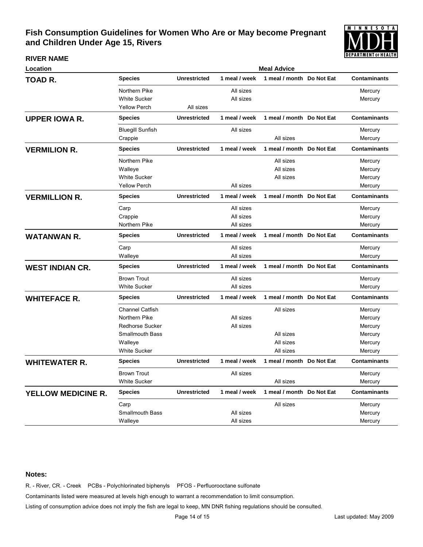

#### **RIVER NAME**

| Location                  | <b>Meal Advice</b>      |                     |               |                           |  |                     |  |  |
|---------------------------|-------------------------|---------------------|---------------|---------------------------|--|---------------------|--|--|
| TOAD R.                   | <b>Species</b>          | <b>Unrestricted</b> | 1 meal / week | 1 meal / month Do Not Eat |  | <b>Contaminants</b> |  |  |
|                           | Northern Pike           |                     | All sizes     |                           |  | Mercury             |  |  |
|                           | <b>White Sucker</b>     |                     | All sizes     |                           |  | Mercury             |  |  |
|                           | <b>Yellow Perch</b>     | All sizes           |               |                           |  |                     |  |  |
| <b>UPPER IOWA R.</b>      | <b>Species</b>          | <b>Unrestricted</b> | 1 meal / week | 1 meal / month Do Not Eat |  | <b>Contaminants</b> |  |  |
|                           | <b>Bluegill Sunfish</b> |                     | All sizes     |                           |  | Mercury             |  |  |
|                           | Crappie                 |                     |               | All sizes                 |  | Mercury             |  |  |
| <b>VERMILION R.</b>       | <b>Species</b>          | <b>Unrestricted</b> | 1 meal / week | 1 meal / month Do Not Eat |  | <b>Contaminants</b> |  |  |
|                           | Northern Pike           |                     |               | All sizes                 |  | Mercury             |  |  |
|                           | Walleye                 |                     |               | All sizes                 |  | Mercury             |  |  |
|                           | <b>White Sucker</b>     |                     |               | All sizes                 |  | Mercury             |  |  |
|                           | <b>Yellow Perch</b>     |                     | All sizes     |                           |  | Mercury             |  |  |
| <b>VERMILLION R.</b>      | <b>Species</b>          | <b>Unrestricted</b> | 1 meal / week | 1 meal / month Do Not Eat |  | <b>Contaminants</b> |  |  |
|                           | Carp                    |                     | All sizes     |                           |  | Mercury             |  |  |
|                           | Crappie                 |                     | All sizes     |                           |  | Mercury             |  |  |
|                           | Northern Pike           |                     | All sizes     |                           |  | Mercury             |  |  |
| <b>WATANWAN R.</b>        | <b>Species</b>          | <b>Unrestricted</b> | 1 meal / week | 1 meal / month Do Not Eat |  | <b>Contaminants</b> |  |  |
|                           | Carp                    |                     | All sizes     |                           |  | Mercury             |  |  |
|                           | Walleye                 |                     | All sizes     |                           |  | Mercury             |  |  |
| <b>WEST INDIAN CR.</b>    | <b>Species</b>          | <b>Unrestricted</b> | 1 meal / week | 1 meal / month Do Not Eat |  | <b>Contaminants</b> |  |  |
|                           | <b>Brown Trout</b>      |                     | All sizes     |                           |  | Mercury             |  |  |
|                           | <b>White Sucker</b>     |                     | All sizes     |                           |  | Mercury             |  |  |
| <b>WHITEFACE R.</b>       | <b>Species</b>          | <b>Unrestricted</b> | 1 meal / week | 1 meal / month Do Not Eat |  | <b>Contaminants</b> |  |  |
|                           | <b>Channel Catfish</b>  |                     |               | All sizes                 |  | Mercury             |  |  |
|                           | Northern Pike           |                     | All sizes     |                           |  | Mercury             |  |  |
|                           | <b>Redhorse Sucker</b>  |                     | All sizes     |                           |  | Mercury             |  |  |
|                           | <b>Smallmouth Bass</b>  |                     |               | All sizes                 |  | Mercury             |  |  |
|                           | Walleye                 |                     |               | All sizes                 |  | Mercury             |  |  |
|                           | <b>White Sucker</b>     |                     |               | All sizes                 |  | Mercury             |  |  |
| <b>WHITEWATER R.</b>      | <b>Species</b>          | <b>Unrestricted</b> | 1 meal / week | 1 meal / month Do Not Eat |  | <b>Contaminants</b> |  |  |
|                           | <b>Brown Trout</b>      |                     | All sizes     |                           |  | Mercury             |  |  |
|                           | <b>White Sucker</b>     |                     |               | All sizes                 |  | Mercury             |  |  |
| <b>YELLOW MEDICINE R.</b> | <b>Species</b>          | <b>Unrestricted</b> | 1 meal / week | 1 meal / month Do Not Eat |  | <b>Contaminants</b> |  |  |
|                           | Carp                    |                     |               | All sizes                 |  | Mercury             |  |  |
|                           | <b>Smallmouth Bass</b>  |                     | All sizes     |                           |  | Mercury             |  |  |
|                           | Walleye                 |                     | All sizes     |                           |  | Mercury             |  |  |
|                           |                         |                     |               |                           |  |                     |  |  |

### **Notes:**

R. - River, CR. - Creek PCBs - Polychlorinated biphenyls PFOS - Perfluorooctane sulfonate

Contaminants listed were measured at levels high enough to warrant a recommendation to limit consumption.